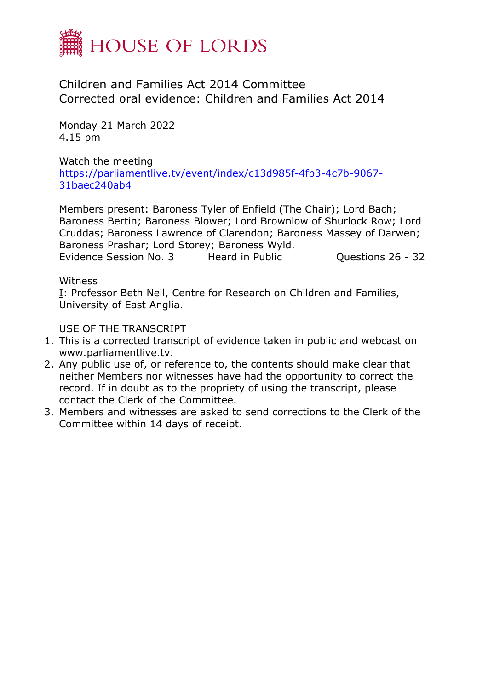

Children and Families Act 2014 Committee Corrected oral evidence: Children and Families Act 2014

Monday 21 March 2022 4.15 pm

Watch the meeting [https://parliamentlive.tv/event/index/c13d985f-4fb3-4c7b-9067-](https://parliamentlive.tv/event/index/c13d985f-4fb3-4c7b-9067-31baec240ab4) [31baec240ab4](https://parliamentlive.tv/event/index/c13d985f-4fb3-4c7b-9067-31baec240ab4)

Members present: Baroness Tyler of Enfield (The Chair); Lord Bach; Baroness Bertin; Baroness Blower; Lord Brownlow of Shurlock Row; Lord Cruddas; Baroness Lawrence of Clarendon; Baroness Massey of Darwen; Baroness Prashar; Lord Storey; Baroness Wyld.

Evidence Session No. 3 Heard in Public Cuestions 26 - 32

**Witness** 

[I](file:///O:/Committee%20Transcripts/Children%20and%20Families%20Act%202014/2022/2022-03-21/1405832%20Hansard%20HoL%20CFAC%2021.03.22%20Evd3.docx%23Panel1): Professor Beth Neil, Centre for Research on Children and Families, University of East Anglia.

USE OF THE TRANSCRIPT

- 1. This is a corrected transcript of evidence taken in public and webcast on [www.parliamentlive.tv.](http://www.parliamentlive.tv/)
- 2. Any public use of, or reference to, the contents should make clear that neither Members nor witnesses have had the opportunity to correct the record. If in doubt as to the propriety of using the transcript, please contact the Clerk of the Committee.
- 3. Members and witnesses are asked to send corrections to the Clerk of the Committee within 14 days of receipt.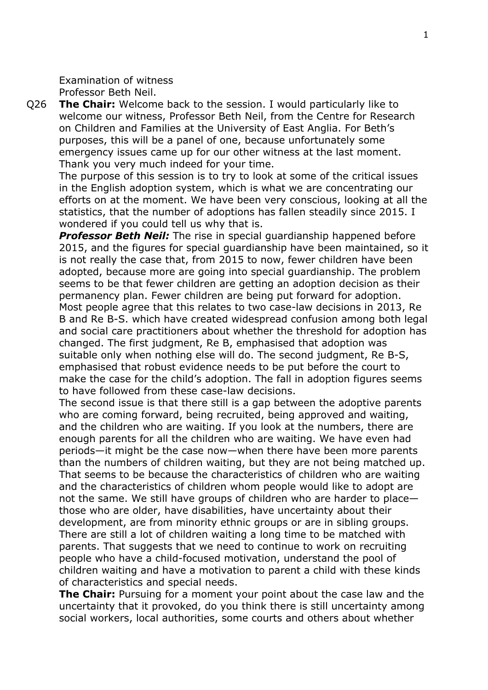Examination of witness Professor Beth Neil.

Q26 **The Chair:** Welcome back to the session. I would particularly like to welcome our witness, Professor Beth Neil, from the Centre for Research on Children and Families at the University of East Anglia. For Beth's purposes, this will be a panel of one, because unfortunately some emergency issues came up for our other witness at the last moment. Thank you very much indeed for your time.

The purpose of this session is to try to look at some of the critical issues in the English adoption system, which is what we are concentrating our efforts on at the moment. We have been very conscious, looking at all the statistics, that the number of adoptions has fallen steadily since 2015. I wondered if you could tell us why that is.

*Professor Beth Neil:* The rise in special guardianship happened before 2015, and the figures for special guardianship have been maintained, so it is not really the case that, from 2015 to now, fewer children have been adopted, because more are going into special guardianship. The problem seems to be that fewer children are getting an adoption decision as their permanency plan. Fewer children are being put forward for adoption. Most people agree that this relates to two case-law decisions in 2013, Re B and Re B-S. which have created widespread confusion among both legal and social care practitioners about whether the threshold for adoption has changed. The first judgment, Re B, emphasised that adoption was suitable only when nothing else will do. The second judgment, Re B-S, emphasised that robust evidence needs to be put before the court to make the case for the child's adoption. The fall in adoption figures seems to have followed from these case-law decisions.

The second issue is that there still is a gap between the adoptive parents who are coming forward, being recruited, being approved and waiting, and the children who are waiting. If you look at the numbers, there are enough parents for all the children who are waiting. We have even had periods—it might be the case now—when there have been more parents than the numbers of children waiting, but they are not being matched up. That seems to be because the characteristics of children who are waiting and the characteristics of children whom people would like to adopt are not the same. We still have groups of children who are harder to place those who are older, have disabilities, have uncertainty about their development, are from minority ethnic groups or are in sibling groups. There are still a lot of children waiting a long time to be matched with parents. That suggests that we need to continue to work on recruiting people who have a child-focused motivation, understand the pool of children waiting and have a motivation to parent a child with these kinds of characteristics and special needs.

**The Chair:** Pursuing for a moment your point about the case law and the uncertainty that it provoked, do you think there is still uncertainty among social workers, local authorities, some courts and others about whether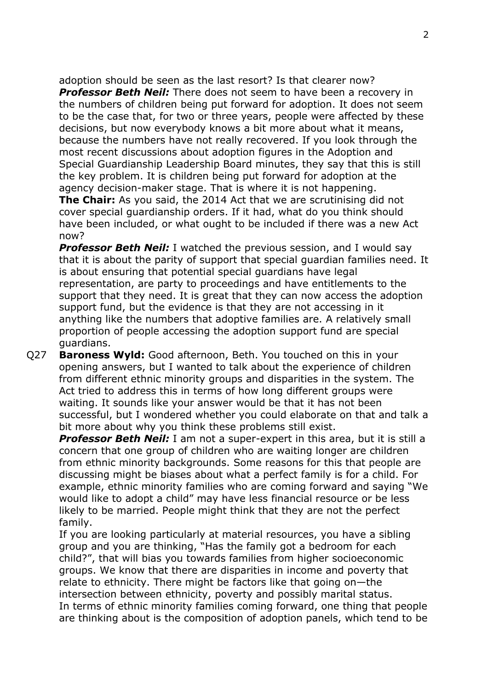adoption should be seen as the last resort? Is that clearer now?

*Professor Beth Neil:* There does not seem to have been a recovery in the numbers of children being put forward for adoption. It does not seem to be the case that, for two or three years, people were affected by these decisions, but now everybody knows a bit more about what it means, because the numbers have not really recovered. If you look through the most recent discussions about adoption figures in the Adoption and Special Guardianship Leadership Board minutes, they say that this is still the key problem. It is children being put forward for adoption at the agency decision-maker stage. That is where it is not happening.

**The Chair:** As you said, the 2014 Act that we are scrutinising did not cover special guardianship orders. If it had, what do you think should have been included, or what ought to be included if there was a new Act now?

*Professor Beth Neil:* I watched the previous session, and I would say that it is about the parity of support that special guardian families need. It is about ensuring that potential special guardians have legal representation, are party to proceedings and have entitlements to the support that they need. It is great that they can now access the adoption support fund, but the evidence is that they are not accessing in it anything like the numbers that adoptive families are. A relatively small proportion of people accessing the adoption support fund are special guardians.

Q27 **Baroness Wyld:** Good afternoon, Beth. You touched on this in your opening answers, but I wanted to talk about the experience of children from different ethnic minority groups and disparities in the system. The Act tried to address this in terms of how long different groups were waiting. It sounds like your answer would be that it has not been successful, but I wondered whether you could elaborate on that and talk a bit more about why you think these problems still exist.

*Professor Beth Neil:* I am not a super-expert in this area, but it is still a concern that one group of children who are waiting longer are children from ethnic minority backgrounds. Some reasons for this that people are discussing might be biases about what a perfect family is for a child. For example, ethnic minority families who are coming forward and saying "We would like to adopt a child" may have less financial resource or be less likely to be married. People might think that they are not the perfect family.

If you are looking particularly at material resources, you have a sibling group and you are thinking, "Has the family got a bedroom for each child?", that will bias you towards families from higher socioeconomic groups. We know that there are disparities in income and poverty that relate to ethnicity. There might be factors like that going on—the intersection between ethnicity, poverty and possibly marital status. In terms of ethnic minority families coming forward, one thing that people are thinking about is the composition of adoption panels, which tend to be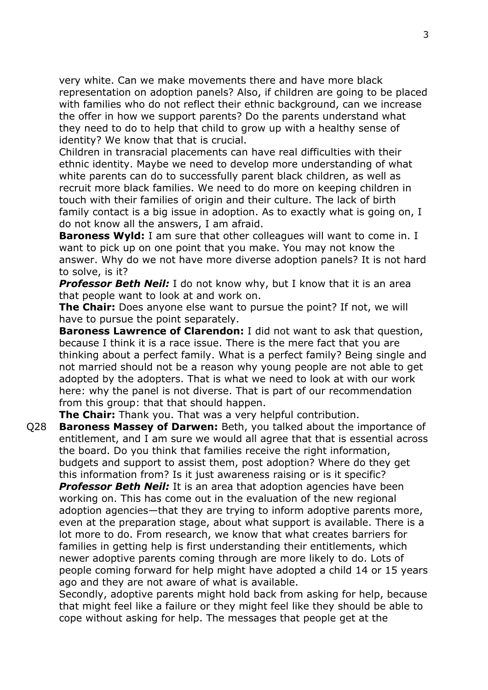very white. Can we make movements there and have more black representation on adoption panels? Also, if children are going to be placed with families who do not reflect their ethnic background, can we increase the offer in how we support parents? Do the parents understand what they need to do to help that child to grow up with a healthy sense of identity? We know that that is crucial.

Children in transracial placements can have real difficulties with their ethnic identity. Maybe we need to develop more understanding of what white parents can do to successfully parent black children, as well as recruit more black families. We need to do more on keeping children in touch with their families of origin and their culture. The lack of birth family contact is a big issue in adoption. As to exactly what is going on, I do not know all the answers, I am afraid.

**Baroness Wyld:** I am sure that other colleagues will want to come in. I want to pick up on one point that you make. You may not know the answer. Why do we not have more diverse adoption panels? It is not hard to solve, is it?

*Professor Beth Neil:* I do not know why, but I know that it is an area that people want to look at and work on.

**The Chair:** Does anyone else want to pursue the point? If not, we will have to pursue the point separately.

**Baroness Lawrence of Clarendon:** I did not want to ask that question, because I think it is a race issue. There is the mere fact that you are thinking about a perfect family. What is a perfect family? Being single and not married should not be a reason why young people are not able to get adopted by the adopters. That is what we need to look at with our work here: why the panel is not diverse. That is part of our recommendation from this group: that that should happen.

**The Chair:** Thank you. That was a very helpful contribution.

Q28 **Baroness Massey of Darwen:** Beth, you talked about the importance of entitlement, and I am sure we would all agree that that is essential across the board. Do you think that families receive the right information, budgets and support to assist them, post adoption? Where do they get this information from? Is it just awareness raising or is it specific?

*Professor Beth Neil:* It is an area that adoption agencies have been working on. This has come out in the evaluation of the new regional adoption agencies—that they are trying to inform adoptive parents more, even at the preparation stage, about what support is available. There is a lot more to do. From research, we know that what creates barriers for families in getting help is first understanding their entitlements, which newer adoptive parents coming through are more likely to do. Lots of people coming forward for help might have adopted a child 14 or 15 years ago and they are not aware of what is available.

Secondly, adoptive parents might hold back from asking for help, because that might feel like a failure or they might feel like they should be able to cope without asking for help. The messages that people get at the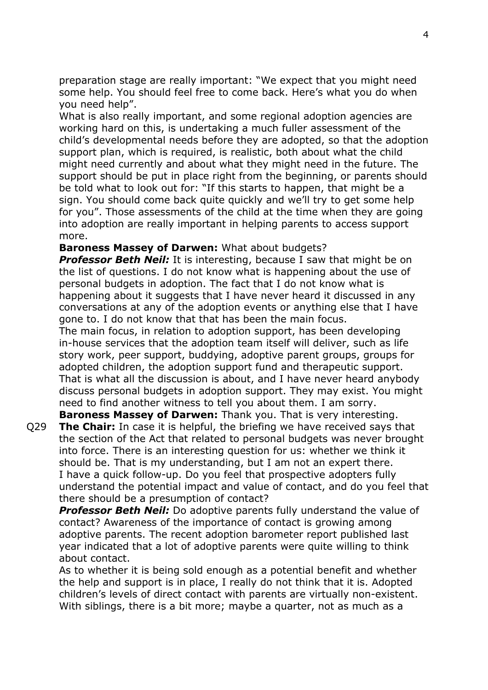preparation stage are really important: "We expect that you might need some help. You should feel free to come back. Here's what you do when you need help".

What is also really important, and some regional adoption agencies are working hard on this, is undertaking a much fuller assessment of the child's developmental needs before they are adopted, so that the adoption support plan, which is required, is realistic, both about what the child might need currently and about what they might need in the future. The support should be put in place right from the beginning, or parents should be told what to look out for: "If this starts to happen, that might be a sign. You should come back quite quickly and we'll try to get some help for you". Those assessments of the child at the time when they are going into adoption are really important in helping parents to access support more.

**Baroness Massey of Darwen:** What about budgets?

**Professor Beth Neil:** It is interesting, because I saw that might be on the list of questions. I do not know what is happening about the use of personal budgets in adoption. The fact that I do not know what is happening about it suggests that I have never heard it discussed in any conversations at any of the adoption events or anything else that I have gone to. I do not know that that has been the main focus.

The main focus, in relation to adoption support, has been developing in-house services that the adoption team itself will deliver, such as life story work, peer support, buddying, adoptive parent groups, groups for adopted children, the adoption support fund and therapeutic support. That is what all the discussion is about, and I have never heard anybody discuss personal budgets in adoption support. They may exist. You might need to find another witness to tell you about them. I am sorry.

**Baroness Massey of Darwen:** Thank you. That is very interesting. Q29 **The Chair:** In case it is helpful, the briefing we have received says that the section of the Act that related to personal budgets was never brought into force. There is an interesting question for us: whether we think it should be. That is my understanding, but I am not an expert there. I have a quick follow-up. Do you feel that prospective adopters fully understand the potential impact and value of contact, and do you feel that there should be a presumption of contact?

*Professor Beth Neil:* Do adoptive parents fully understand the value of contact? Awareness of the importance of contact is growing among adoptive parents. The recent adoption barometer report published last year indicated that a lot of adoptive parents were quite willing to think about contact.

As to whether it is being sold enough as a potential benefit and whether the help and support is in place, I really do not think that it is. Adopted children's levels of direct contact with parents are virtually non-existent. With siblings, there is a bit more; maybe a quarter, not as much as a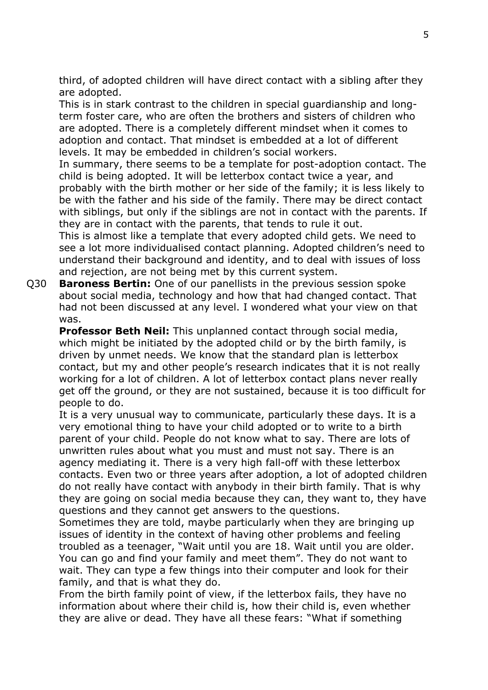third, of adopted children will have direct contact with a sibling after they are adopted.

This is in stark contrast to the children in special guardianship and longterm foster care, who are often the brothers and sisters of children who are adopted. There is a completely different mindset when it comes to adoption and contact. That mindset is embedded at a lot of different levels. It may be embedded in children's social workers.

In summary, there seems to be a template for post-adoption contact. The child is being adopted. It will be letterbox contact twice a year, and probably with the birth mother or her side of the family; it is less likely to be with the father and his side of the family. There may be direct contact with siblings, but only if the siblings are not in contact with the parents. If they are in contact with the parents, that tends to rule it out.

This is almost like a template that every adopted child gets. We need to see a lot more individualised contact planning. Adopted children's need to understand their background and identity, and to deal with issues of loss and rejection, are not being met by this current system.

Q30 **Baroness Bertin:** One of our panellists in the previous session spoke about social media, technology and how that had changed contact. That had not been discussed at any level. I wondered what your view on that was.

**Professor Beth Neil:** This unplanned contact through social media, which might be initiated by the adopted child or by the birth family, is driven by unmet needs. We know that the standard plan is letterbox contact, but my and other people's research indicates that it is not really working for a lot of children. A lot of letterbox contact plans never really get off the ground, or they are not sustained, because it is too difficult for people to do.

It is a very unusual way to communicate, particularly these days. It is a very emotional thing to have your child adopted or to write to a birth parent of your child. People do not know what to say. There are lots of unwritten rules about what you must and must not say. There is an agency mediating it. There is a very high fall-off with these letterbox contacts. Even two or three years after adoption, a lot of adopted children do not really have contact with anybody in their birth family. That is why they are going on social media because they can, they want to, they have questions and they cannot get answers to the questions.

Sometimes they are told, maybe particularly when they are bringing up issues of identity in the context of having other problems and feeling troubled as a teenager, "Wait until you are 18. Wait until you are older. You can go and find your family and meet them". They do not want to wait. They can type a few things into their computer and look for their family, and that is what they do.

From the birth family point of view, if the letterbox fails, they have no information about where their child is, how their child is, even whether they are alive or dead. They have all these fears: "What if something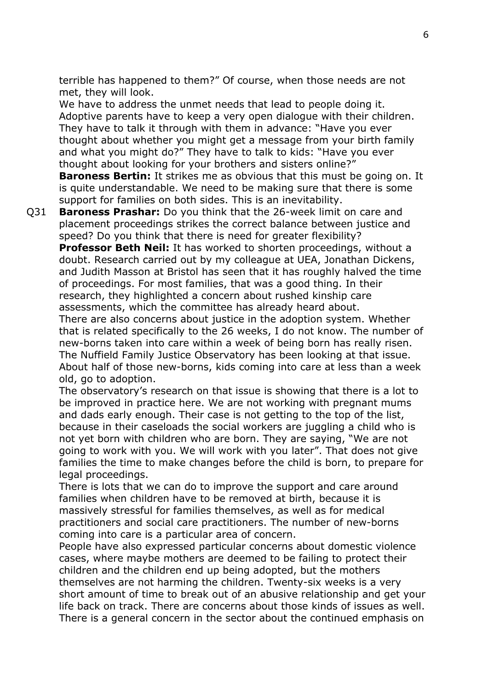terrible has happened to them?" Of course, when those needs are not met, they will look.

We have to address the unmet needs that lead to people doing it. Adoptive parents have to keep a very open dialogue with their children. They have to talk it through with them in advance: "Have you ever thought about whether you might get a message from your birth family and what you might do?" They have to talk to kids: "Have you ever thought about looking for your brothers and sisters online?" **Baroness Bertin:** It strikes me as obvious that this must be going on. It is quite understandable. We need to be making sure that there is some support for families on both sides. This is an inevitability.

Q31 **Baroness Prashar:** Do you think that the 26-week limit on care and placement proceedings strikes the correct balance between justice and speed? Do you think that there is need for greater flexibility? **Professor Beth Neil:** It has worked to shorten proceedings, without a doubt. Research carried out by my colleague at UEA, Jonathan Dickens, and Judith Masson at Bristol has seen that it has roughly halved the time of proceedings. For most families, that was a good thing. In their research, they highlighted a concern about rushed kinship care assessments, which the committee has already heard about. There are also concerns about justice in the adoption system. Whether that is related specifically to the 26 weeks, I do not know. The number of new-borns taken into care within a week of being born has really risen. The Nuffield Family Justice Observatory has been looking at that issue. About half of those new-borns, kids coming into care at less than a week old, go to adoption.

The observatory's research on that issue is showing that there is a lot to be improved in practice here. We are not working with pregnant mums and dads early enough. Their case is not getting to the top of the list, because in their caseloads the social workers are juggling a child who is not yet born with children who are born. They are saying, "We are not going to work with you. We will work with you later". That does not give families the time to make changes before the child is born, to prepare for legal proceedings.

There is lots that we can do to improve the support and care around families when children have to be removed at birth, because it is massively stressful for families themselves, as well as for medical practitioners and social care practitioners. The number of new-borns coming into care is a particular area of concern.

People have also expressed particular concerns about domestic violence cases, where maybe mothers are deemed to be failing to protect their children and the children end up being adopted, but the mothers themselves are not harming the children. Twenty-six weeks is a very short amount of time to break out of an abusive relationship and get your life back on track. There are concerns about those kinds of issues as well. There is a general concern in the sector about the continued emphasis on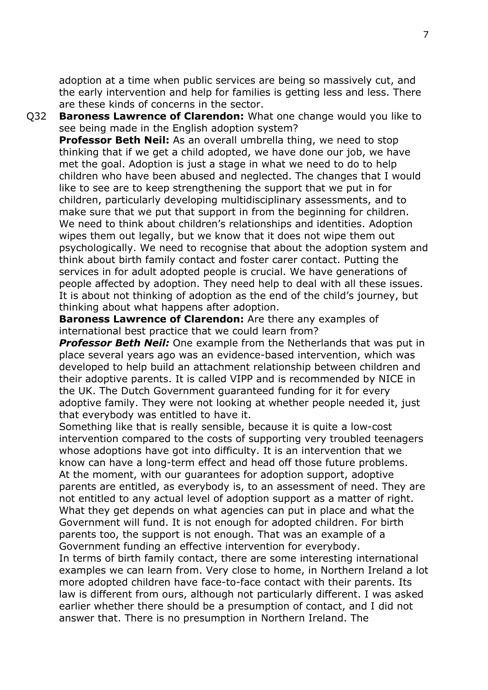adoption at a time when public services are being so massively cut, and the early intervention and help for families is getting less and less. There are these kinds of concerns in the sector.

Q32 **Baroness Lawrence of Clarendon:** What one change would you like to see being made in the English adoption system? **Professor Beth Neil:** As an overall umbrella thing, we need to stop thinking that if we get a child adopted, we have done our job, we have met the goal. Adoption is just a stage in what we need to do to help children who have been abused and neglected. The changes that I would like to see are to keep strengthening the support that we put in for children, particularly developing multidisciplinary assessments, and to make sure that we put that support in from the beginning for children. We need to think about children's relationships and identities. Adoption wipes them out legally, but we know that it does not wipe them out psychologically. We need to recognise that about the adoption system and think about birth family contact and foster carer contact. Putting the services in for adult adopted people is crucial. We have generations of people affected by adoption. They need help to deal with all these issues. It is about not thinking of adoption as the end of the child's journey, but

thinking about what happens after adoption.

**Baroness Lawrence of Clarendon:** Are there any examples of international best practice that we could learn from?

*Professor Beth Neil:* One example from the Netherlands that was put in place several years ago was an evidence-based intervention, which was developed to help build an attachment relationship between children and their adoptive parents. It is called VIPP and is recommended by NICE in the UK. The Dutch Government guaranteed funding for it for every adoptive family. They were not looking at whether people needed it, just that everybody was entitled to have it.

Something like that is really sensible, because it is quite a low-cost intervention compared to the costs of supporting very troubled teenagers whose adoptions have got into difficulty. It is an intervention that we know can have a long-term effect and head off those future problems. At the moment, with our guarantees for adoption support, adoptive parents are entitled, as everybody is, to an assessment of need. They are not entitled to any actual level of adoption support as a matter of right. What they get depends on what agencies can put in place and what the Government will fund. It is not enough for adopted children. For birth parents too, the support is not enough. That was an example of a Government funding an effective intervention for everybody.

In terms of birth family contact, there are some interesting international examples we can learn from. Very close to home, in Northern Ireland a lot more adopted children have face-to-face contact with their parents. Its law is different from ours, although not particularly different. I was asked earlier whether there should be a presumption of contact, and I did not answer that. There is no presumption in Northern Ireland. The